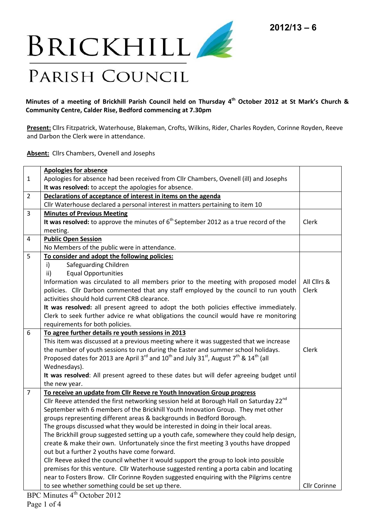

**Minutes of a meeting of Brickhill Parish Council held on Thursday 4th October 2012 at St Mark's Church & Community Centre, Calder Rise, Bedford commencing at 7.30pm** 

**Present:** Cllrs Fitzpatrick, Waterhouse, Blakeman, Crofts, Wilkins, Rider, Charles Royden, Corinne Royden, Reeve and Darbon the Clerk were in attendance.

**Absent:** Cllrs Chambers, Ovenell and Josephs

|                | <b>Apologies for absence</b>                                                                                                                      |                     |
|----------------|---------------------------------------------------------------------------------------------------------------------------------------------------|---------------------|
| $\mathbf{1}$   | Apologies for absence had been received from Cllr Chambers, Ovenell (ill) and Josephs                                                             |                     |
|                | It was resolved: to accept the apologies for absence.                                                                                             |                     |
| $\overline{2}$ | Declarations of acceptance of interest in items on the agenda                                                                                     |                     |
|                | Cllr Waterhouse declared a personal interest in matters pertaining to item 10                                                                     |                     |
| 3              | <b>Minutes of Previous Meeting</b>                                                                                                                |                     |
|                | It was resolved: to approve the minutes of $6th$ September 2012 as a true record of the                                                           | Clerk               |
|                | meeting.                                                                                                                                          |                     |
| 4              | <b>Public Open Session</b>                                                                                                                        |                     |
|                | No Members of the public were in attendance.                                                                                                      |                     |
| 5              | To consider and adopt the following policies:                                                                                                     |                     |
|                | $\mathsf{i}$<br>Safeguarding Children                                                                                                             |                     |
|                | <b>Equal Opportunities</b><br>ii)                                                                                                                 |                     |
|                | Information was circulated to all members prior to the meeting with proposed model                                                                | All Clirs &         |
|                | policies. Cllr Darbon commented that any staff employed by the council to run youth                                                               | Clerk               |
|                | activities should hold current CRB clearance.                                                                                                     |                     |
|                | It was resolved: all present agreed to adopt the both policies effective immediately.                                                             |                     |
|                | Clerk to seek further advice re what obligations the council would have re monitoring                                                             |                     |
|                | requirements for both policies.                                                                                                                   |                     |
| 6              | To agree further details re youth sessions in 2013                                                                                                |                     |
|                | This item was discussed at a previous meeting where it was suggested that we increase                                                             |                     |
|                | the number of youth sessions to run during the Easter and summer school holidays.                                                                 | Clerk               |
|                | Proposed dates for 2013 are April 3 <sup>rd</sup> and 10 <sup>th</sup> and July 31 <sup>st</sup> , August 7 <sup>th</sup> & 14 <sup>th</sup> (all |                     |
|                | Wednesdays).                                                                                                                                      |                     |
|                | It was resolved: All present agreed to these dates but will defer agreeing budget until                                                           |                     |
|                | the new year.                                                                                                                                     |                     |
| $\overline{7}$ | To receive an update from Cllr Reeve re Youth Innovation Group progress                                                                           |                     |
|                | Cllr Reeve attended the first networking session held at Borough Hall on Saturday 22 <sup>nd</sup>                                                |                     |
|                | September with 6 members of the Brickhill Youth Innovation Group. They met other                                                                  |                     |
|                | groups representing different areas & backgrounds in Bedford Borough.                                                                             |                     |
|                | The groups discussed what they would be interested in doing in their local areas.                                                                 |                     |
|                | The Brickhill group suggested setting up a youth cafe, somewhere they could help design,                                                          |                     |
|                | create & make their own. Unfortunately since the first meeting 3 youths have dropped                                                              |                     |
|                | out but a further 2 youths have come forward.                                                                                                     |                     |
|                | Cllr Reeve asked the council whether it would support the group to look into possible                                                             |                     |
|                | premises for this venture. Cllr Waterhouse suggested renting a porta cabin and locating                                                           |                     |
|                | near to Fosters Brow. Cllr Corinne Royden suggested enquiring with the Pilgrims centre                                                            |                     |
|                | to see whether something could be set up there.                                                                                                   | <b>Cllr Corinne</b> |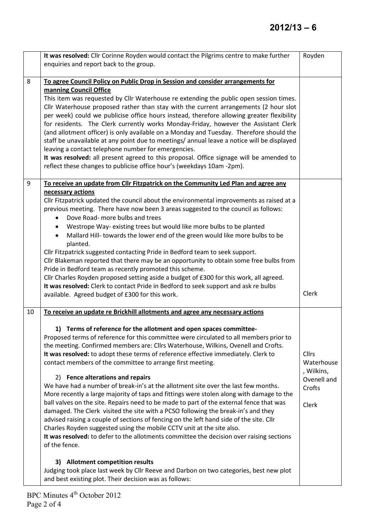|    | It was resolved: Cllr Corinne Royden would contact the Pilgrims centre to make further<br>enquiries and report back to the group.                                                                                                                                                                                                                                                                                                                                                                                                                                                                                                                                                                                                                                                                                                                                                                                                                                                                                                                                                                                                                                                                                                                                                                                                                                     | Royden                                                              |
|----|-----------------------------------------------------------------------------------------------------------------------------------------------------------------------------------------------------------------------------------------------------------------------------------------------------------------------------------------------------------------------------------------------------------------------------------------------------------------------------------------------------------------------------------------------------------------------------------------------------------------------------------------------------------------------------------------------------------------------------------------------------------------------------------------------------------------------------------------------------------------------------------------------------------------------------------------------------------------------------------------------------------------------------------------------------------------------------------------------------------------------------------------------------------------------------------------------------------------------------------------------------------------------------------------------------------------------------------------------------------------------|---------------------------------------------------------------------|
| 8  | To agree Council Policy on Public Drop in Session and consider arrangements for<br>manning Council Office<br>This item was requested by Cllr Waterhouse re extending the public open session times.<br>Cllr Waterhouse proposed rather than stay with the current arrangements (2 hour slot<br>per week) could we publicise office hours instead, therefore allowing greater flexibility<br>for residents. The Clerk currently works Monday-Friday, however the Assistant Clerk<br>(and allotment officer) is only available on a Monday and Tuesday. Therefore should the<br>staff be unavailable at any point due to meetings/ annual leave a notice will be displayed<br>leaving a contact telephone number for emergencies.<br>It was resolved: all present agreed to this proposal. Office signage will be amended to<br>reflect these changes to publicise office hour's (weekdays 10am -2pm).                                                                                                                                                                                                                                                                                                                                                                                                                                                                  |                                                                     |
| 9  | To receive an update from Cllr Fitzpatrick on the Community Led Plan and agree any<br>necessary actions<br>Cllr Fitzpatrick updated the council about the environmental improvements as raised at a<br>previous meeting. There have now been 3 areas suggested to the council as follows:<br>Dove Road- more bulbs and trees<br>$\bullet$<br>Westrope Way- existing trees but would like more bulbs to be planted<br>Mallard Hill- towards the lower end of the green would like more bulbs to be<br>planted.<br>Cllr Fitzpatrick suggested contacting Pride in Bedford team to seek support.<br>Cllr Blakeman reported that there may be an opportunity to obtain some free bulbs from<br>Pride in Bedford team as recently promoted this scheme.<br>Cllr Charles Royden proposed setting aside a budget of £300 for this work, all agreed.<br>It was resolved: Clerk to contact Pride in Bedford to seek support and ask re bulbs<br>available. Agreed budget of £300 for this work.                                                                                                                                                                                                                                                                                                                                                                                | Clerk                                                               |
| 10 | To receive an update re Brickhill allotments and agree any necessary actions<br>1) Terms of reference for the allotment and open spaces committee-<br>Proposed terms of reference for this committee were circulated to all members prior to<br>the meeting. Confirmed members are: Cllrs Waterhouse, Wilkins, Ovenell and Crofts.<br>It was resolved: to adopt these terms of reference effective immediately. Clerk to<br>contact members of the committee to arrange first meeting.<br>2) Fence alterations and repairs<br>We have had a number of break-in's at the allotment site over the last few months.<br>More recently a large majority of taps and fittings were stolen along with damage to the<br>ball valves on the site. Repairs need to be made to part of the external fence that was<br>damaged. The Clerk visited the site with a PCSO following the break-in's and they<br>advised raising a couple of sections of fencing on the left hand side of the site. Cllr<br>Charles Royden suggested using the mobile CCTV unit at the site also.<br>It was resolved: to defer to the allotments committee the decision over raising sections<br>of the fence.<br>3) Allotment competition results<br>Judging took place last week by Cllr Reeve and Darbon on two categories, best new plot<br>and best existing plot. Their decision was as follows: | Cllrs<br>Waterhouse<br>, Wilkins,<br>Ovenell and<br>Crofts<br>Clerk |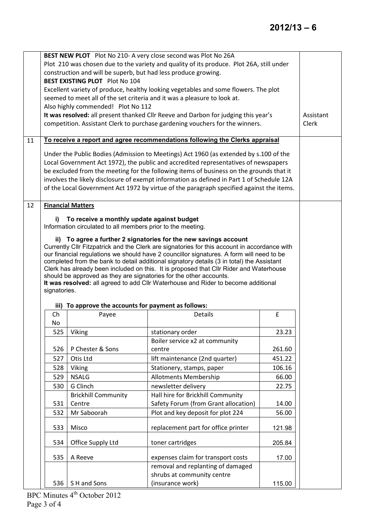|    |                      | construction and will be superb, but had less produce growing.<br><b>BEST EXISTING PLOT</b> Plot No 104<br>Also highly commended! Plot No 112 | BEST NEW PLOT Plot No 210- A very close second was Plot No 26A<br>Plot 210 was chosen due to the variety and quality of its produce. Plot 26A, still under<br>Excellent variety of produce, healthy looking vegetables and some flowers. The plot<br>seemed to meet all of the set criteria and it was a pleasure to look at.<br>It was resolved: all present thanked Cllr Reeve and Darbon for judging this year's<br>competition. Assistant Clerk to purchase gardening vouchers for the winners.                                                                                                            |        | Assistant<br>Clerk |
|----|----------------------|-----------------------------------------------------------------------------------------------------------------------------------------------|----------------------------------------------------------------------------------------------------------------------------------------------------------------------------------------------------------------------------------------------------------------------------------------------------------------------------------------------------------------------------------------------------------------------------------------------------------------------------------------------------------------------------------------------------------------------------------------------------------------|--------|--------------------|
| 11 |                      |                                                                                                                                               | To receive a report and agree recommendations following the Clerks appraisal                                                                                                                                                                                                                                                                                                                                                                                                                                                                                                                                   |        |                    |
|    |                      |                                                                                                                                               | Under the Public Bodies (Admission to Meetings) Act 1960 (as extended by s.100 of the<br>Local Government Act 1972), the public and accredited representatives of newspapers<br>be excluded from the meeting for the following items of business on the grounds that it<br>involves the likely disclosure of exempt information as defined in Part 1 of Schedule 12A<br>of the Local Government Act 1972 by virtue of the paragraph specified against the items.                                                                                                                                               |        |                    |
| 12 |                      | <b>Financial Matters</b>                                                                                                                      |                                                                                                                                                                                                                                                                                                                                                                                                                                                                                                                                                                                                                |        |                    |
|    | signatories.<br>iii) | Information circulated to all members prior to the meeting.<br>To approve the accounts for payment as follows:                                | ii) To agree a further 2 signatories for the new savings account<br>Currently Cllr Fitzpatrick and the Clerk are signatories for this account in accordance with<br>our financial regulations we should have 2 councillor signatures. A form will need to be<br>completed from the bank to detail additional signatory details (3 in total) the Assistant<br>Clerk has already been included on this. It is proposed that Cllr Rider and Waterhouse<br>should be approved as they are signatories for the other accounts.<br>It was resolved: all agreed to add Cllr Waterhouse and Rider to become additional |        |                    |
|    | Ch                   | Payee                                                                                                                                         | <b>Details</b>                                                                                                                                                                                                                                                                                                                                                                                                                                                                                                                                                                                                 | £      |                    |
|    | No                   |                                                                                                                                               |                                                                                                                                                                                                                                                                                                                                                                                                                                                                                                                                                                                                                |        |                    |
|    | 525                  | Viking                                                                                                                                        | stationary order                                                                                                                                                                                                                                                                                                                                                                                                                                                                                                                                                                                               | 23.23  |                    |
|    |                      |                                                                                                                                               | Boiler service x2 at community                                                                                                                                                                                                                                                                                                                                                                                                                                                                                                                                                                                 |        |                    |
|    | 526                  | P Chester & Sons                                                                                                                              | centre                                                                                                                                                                                                                                                                                                                                                                                                                                                                                                                                                                                                         | 261.60 |                    |
|    | 527                  | Otis Ltd                                                                                                                                      | lift maintenance (2nd quarter)                                                                                                                                                                                                                                                                                                                                                                                                                                                                                                                                                                                 | 451.22 |                    |
|    | 528                  | Viking                                                                                                                                        | Stationery, stamps, paper                                                                                                                                                                                                                                                                                                                                                                                                                                                                                                                                                                                      | 106.16 |                    |
|    | 529                  | <b>NSALG</b>                                                                                                                                  | <b>Allotments Membership</b>                                                                                                                                                                                                                                                                                                                                                                                                                                                                                                                                                                                   | 66.00  |                    |
|    | 530                  | G Clinch                                                                                                                                      | newsletter delivery                                                                                                                                                                                                                                                                                                                                                                                                                                                                                                                                                                                            | 22.75  |                    |
|    | 531                  | <b>Brickhill Community</b><br>Centre                                                                                                          | Hall hire for Brickhill Community<br>Safety Forum (from Grant allocation)                                                                                                                                                                                                                                                                                                                                                                                                                                                                                                                                      | 14.00  |                    |
|    | 532                  | Mr Saboorah                                                                                                                                   | Plot and key deposit for plot 224                                                                                                                                                                                                                                                                                                                                                                                                                                                                                                                                                                              | 56.00  |                    |
|    | 533                  | Misco                                                                                                                                         | replacement part for office printer                                                                                                                                                                                                                                                                                                                                                                                                                                                                                                                                                                            |        |                    |
|    |                      |                                                                                                                                               |                                                                                                                                                                                                                                                                                                                                                                                                                                                                                                                                                                                                                | 121.98 |                    |
|    | 534                  | Office Supply Ltd                                                                                                                             | toner cartridges                                                                                                                                                                                                                                                                                                                                                                                                                                                                                                                                                                                               | 205.84 |                    |
|    | 535                  | A Reeve                                                                                                                                       | expenses claim for transport costs                                                                                                                                                                                                                                                                                                                                                                                                                                                                                                                                                                             | 17.00  |                    |
|    |                      |                                                                                                                                               | removal and replanting of damaged                                                                                                                                                                                                                                                                                                                                                                                                                                                                                                                                                                              |        |                    |
|    |                      |                                                                                                                                               | shrubs at community centre                                                                                                                                                                                                                                                                                                                                                                                                                                                                                                                                                                                     |        |                    |
|    | 536                  | S H and Sons<br>th                                                                                                                            | (insurance work)                                                                                                                                                                                                                                                                                                                                                                                                                                                                                                                                                                                               | 115.00 |                    |